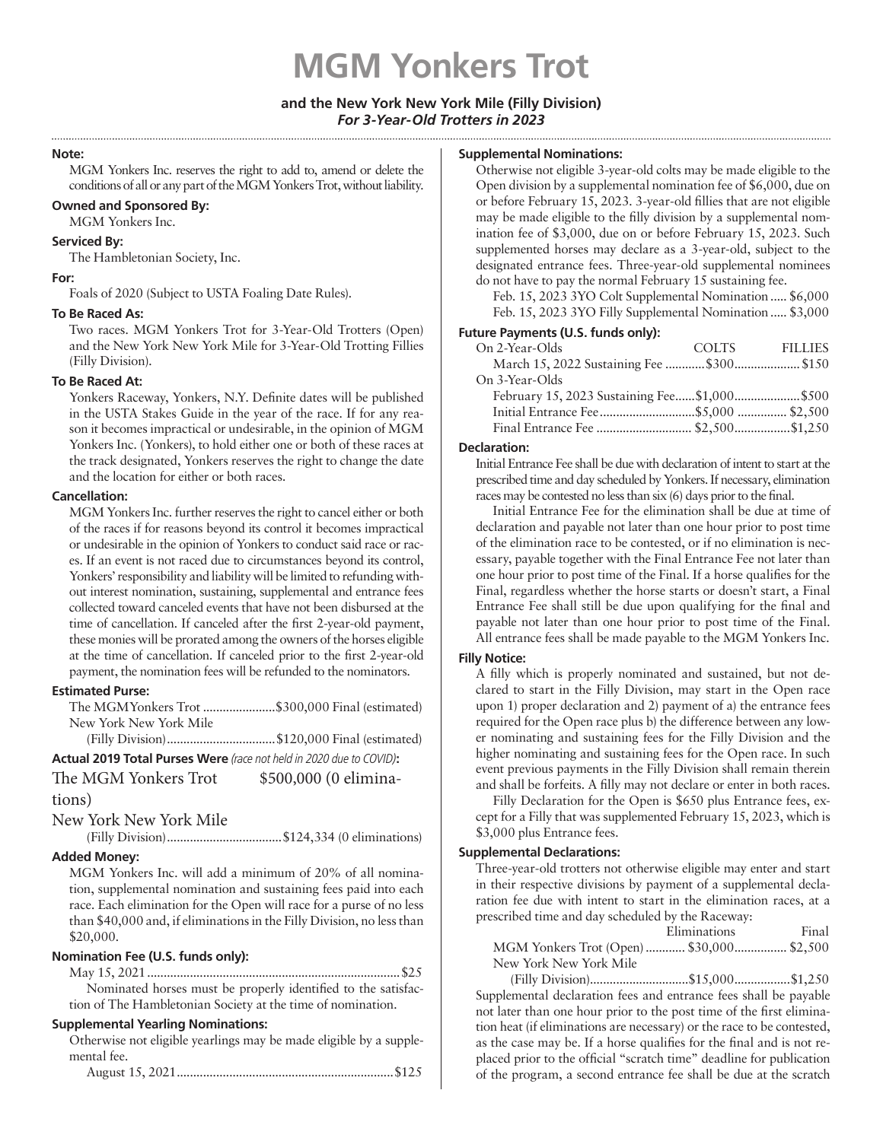# **MGM Yonkers Trot**

#### **and the New York New York Mile (Filly Division)** *For 3-Year-Old Trotters in 2023*

#### **Note:**

MGM Yonkers Inc. reserves the right to add to, amend or delete the conditions of all or any part of the MGM Yonkers Trot, without liability.

#### **Owned and Sponsored By:**

MGM Yonkers Inc.

#### **Serviced By:**

The Hambletonian Society, Inc.

#### **For:**

Foals of 2020 (Subject to USTA Foaling Date Rules).

#### **To Be Raced As:**

Two races. MGM Yonkers Trot for 3-Year-Old Trotters (Open) and the New York New York Mile for 3-Year-Old Trotting Fillies (Filly Division).

#### **To Be Raced At:**

Yonkers Raceway, Yonkers, N.Y. Definite dates will be published in the USTA Stakes Guide in the year of the race. If for any reason it becomes impractical or undesirable, in the opinion of MGM Yonkers Inc. (Yonkers), to hold either one or both of these races at the track designated, Yonkers reserves the right to change the date and the location for either or both races.

#### **Cancellation:**

MGM Yonkers Inc. further reserves the right to cancel either or both of the races if for reasons beyond its control it becomes impractical or undesirable in the opinion of Yonkers to conduct said race or races. If an event is not raced due to circumstances beyond its control, Yonkers' responsibility and liability will be limited to refunding without interest nomination, sustaining, supplemental and entrance fees collected toward canceled events that have not been disbursed at the time of cancellation. If canceled after the first 2-year-old payment, these monies will be prorated among the owners of the horses eligible at the time of cancellation. If canceled prior to the first 2-year-old payment, the nomination fees will be refunded to the nominators.

#### **Estimated Purse:**

| The MGMYonkers Trot \$300,000 Final (estimated) |  |  |  |
|-------------------------------------------------|--|--|--|
| New York New York Mile                          |  |  |  |
| $\sim$ 11 $\sim$ $\sim$ $\sim$ $\sim$           |  |  |  |

(Filly Division).................................\$120,000 Final (estimated)

**Actual 2019 Total Purses Were** *(race not held in 2020 due to COVID)***:**

## The MGM Yonkers Trot \$500,000 (0 elimina-

#### tions)

New York New York Mile

(Filly Division)...................................\$124,334 (0 eliminations)

### **Added Money:**

MGM Yonkers Inc. will add a minimum of 20% of all nomination, supplemental nomination and sustaining fees paid into each race. Each elimination for the Open will race for a purse of no less than \$40,000 and, if eliminations in the Filly Division, no less than \$20,000.

#### **Nomination Fee (U.S. funds only):**

May 15, 2021.............................................................................\$25 Nominated horses must be properly identified to the satisfaction of The Hambletonian Society at the time of nomination.

#### **Supplemental Yearling Nominations:**

Otherwise not eligible yearlings may be made eligible by a supplemental fee.

|--|--|--|--|

#### **Supplemental Nominations:**

Otherwise not eligible 3-year-old colts may be made eligible to the Open division by a supplemental nomination fee of \$6,000, due on or before February 15, 2023. 3-year-old fillies that are not eligible may be made eligible to the filly division by a supplemental nomination fee of \$3,000, due on or before February 15, 2023. Such supplemented horses may declare as a 3-year-old, subject to the designated entrance fees. Three-year-old supplemental nominees do not have to pay the normal February 15 sustaining fee.

Feb. 15, 2023 3YO Colt Supplemental Nomination..... \$6,000 Feb. 15, 2023 3YO Filly Supplemental Nomination..... \$3,000

#### **Future Payments (U.S. funds only):**

| On 2-Year-Olds                               | COLTS FILLIES |
|----------------------------------------------|---------------|
|                                              |               |
| On 3-Year-Olds                               |               |
| February 15, 2023 Sustaining Fee\$1,000\$500 |               |
|                                              |               |
| Final Entrance Fee  \$2,500 \$1,250          |               |
|                                              |               |

#### **Declaration:**

Initial Entrance Fee shall be due with declaration of intent to start at the prescribed time and day scheduled by Yonkers. If necessary, elimination races may be contested no less than six (6) days prior to the final.

Initial Entrance Fee for the elimination shall be due at time of declaration and payable not later than one hour prior to post time of the elimination race to be contested, or if no elimination is necessary, payable together with the Final Entrance Fee not later than one hour prior to post time of the Final. If a horse qualifies for the Final, regardless whether the horse starts or doesn't start, a Final Entrance Fee shall still be due upon qualifying for the final and payable not later than one hour prior to post time of the Final. All entrance fees shall be made payable to the MGM Yonkers Inc.

#### **Filly Notice:**

A filly which is properly nominated and sustained, but not declared to start in the Filly Division, may start in the Open race upon 1) proper declaration and 2) payment of a) the entrance fees required for the Open race plus b) the difference between any lower nominating and sustaining fees for the Filly Division and the higher nominating and sustaining fees for the Open race. In such event previous payments in the Filly Division shall remain therein and shall be forfeits. A filly may not declare or enter in both races.

Filly Declaration for the Open is \$650 plus Entrance fees, except for a Filly that was supplemented February 15, 2023, which is \$3,000 plus Entrance fees.

#### **Supplemental Declarations:**

Three-year-old trotters not otherwise eligible may enter and start in their respective divisions by payment of a supplemental declaration fee due with intent to start in the elimination races, at a prescribed time and day scheduled by the Raceway:

|                                           | Eliminations | Final |
|-------------------------------------------|--------------|-------|
| MGM Yonkers Trot (Open)  \$30,000 \$2,500 |              |       |
| New York New York Mile                    |              |       |
|                                           |              |       |

(Filly Division)..............................\$15,000.................\$1,250 Supplemental declaration fees and entrance fees shall be payable not later than one hour prior to the post time of the first elimination heat (if eliminations are necessary) or the race to be contested, as the case may be. If a horse qualifies for the final and is not replaced prior to the official "scratch time" deadline for publication of the program, a second entrance fee shall be due at the scratch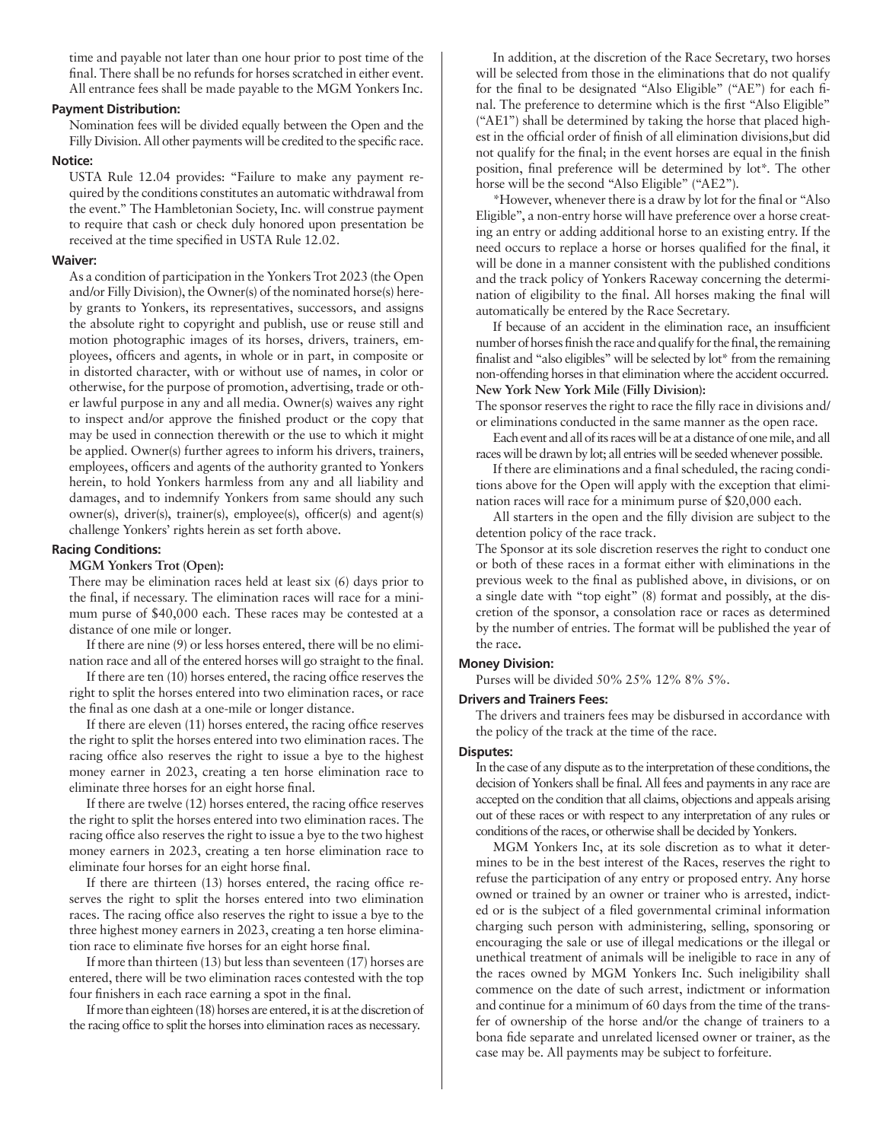time and payable not later than one hour prior to post time of the final. There shall be no refunds for horses scratched in either event. All entrance fees shall be made payable to the MGM Yonkers Inc.

#### **Payment Distribution:**

Nomination fees will be divided equally between the Open and the Filly Division. All other payments will be credited to the specific race.

#### **Notice:**

USTA Rule 12.04 provides: "Failure to make any payment required by the conditions constitutes an automatic withdrawal from the event." The Hambletonian Society, Inc. will construe payment to require that cash or check duly honored upon presentation be received at the time specified in USTA Rule 12.02.

#### **Waiver:**

As a condition of participation in the Yonkers Trot 2023 (the Open and/or Filly Division), the Owner(s) of the nominated horse(s) hereby grants to Yonkers, its representatives, successors, and assigns the absolute right to copyright and publish, use or reuse still and motion photographic images of its horses, drivers, trainers, employees, officers and agents, in whole or in part, in composite or in distorted character, with or without use of names, in color or otherwise, for the purpose of promotion, advertising, trade or other lawful purpose in any and all media. Owner(s) waives any right to inspect and/or approve the finished product or the copy that may be used in connection therewith or the use to which it might be applied. Owner(s) further agrees to inform his drivers, trainers, employees, officers and agents of the authority granted to Yonkers herein, to hold Yonkers harmless from any and all liability and damages, and to indemnify Yonkers from same should any such owner(s), driver(s), trainer(s), employee(s), officer(s) and agent(s) challenge Yonkers' rights herein as set forth above.

#### **Racing Conditions:**

#### **MGM Yonkers Trot (Open):**

There may be elimination races held at least six (6) days prior to the final, if necessary. The elimination races will race for a minimum purse of \$40,000 each. These races may be contested at a distance of one mile or longer.

If there are nine (9) or less horses entered, there will be no elimination race and all of the entered horses will go straight to the final.

If there are ten (10) horses entered, the racing office reserves the right to split the horses entered into two elimination races, or race the final as one dash at a one-mile or longer distance.

If there are eleven (11) horses entered, the racing office reserves the right to split the horses entered into two elimination races. The racing office also reserves the right to issue a bye to the highest money earner in 2023, creating a ten horse elimination race to eliminate three horses for an eight horse final.

If there are twelve (12) horses entered, the racing office reserves the right to split the horses entered into two elimination races. The racing office also reserves the right to issue a bye to the two highest money earners in 2023, creating a ten horse elimination race to eliminate four horses for an eight horse final.

If there are thirteen (13) horses entered, the racing office reserves the right to split the horses entered into two elimination races. The racing office also reserves the right to issue a bye to the three highest money earners in 2023, creating a ten horse elimination race to eliminate five horses for an eight horse final.

If more than thirteen (13) but less than seventeen (17) horses are entered, there will be two elimination races contested with the top four finishers in each race earning a spot in the final.

If more than eighteen (18) horses are entered, it is at the discretion of the racing office to split the horses into elimination races as necessary.

In addition, at the discretion of the Race Secretary, two horses will be selected from those in the eliminations that do not qualify for the final to be designated "Also Eligible" ("AE") for each final. The preference to determine which is the first "Also Eligible" ("AE1") shall be determined by taking the horse that placed highest in the official order of finish of all elimination divisions,but did not qualify for the final; in the event horses are equal in the finish position, final preference will be determined by lot\*. The other horse will be the second "Also Eligible" ("AE2").

\*However, whenever there is a draw by lot for the final or "Also Eligible", a non-entry horse will have preference over a horse creating an entry or adding additional horse to an existing entry. If the need occurs to replace a horse or horses qualified for the final, it will be done in a manner consistent with the published conditions and the track policy of Yonkers Raceway concerning the determination of eligibility to the final. All horses making the final will automatically be entered by the Race Secretary.

If because of an accident in the elimination race, an insufficient number of horses finish the race and qualify for the final, the remaining finalist and "also eligibles" will be selected by lot\* from the remaining non-offending horses in that elimination where the accident occurred. **New York New York Mile (Filly Division):**

The sponsor reserves the right to race the filly race in divisions and/ or eliminations conducted in the same manner as the open race.

Each event and all of its races will be at a distance of one mile, and all races will be drawn by lot; all entries will be seeded whenever possible.

If there are eliminations and a final scheduled, the racing conditions above for the Open will apply with the exception that elimination races will race for a minimum purse of \$20,000 each.

All starters in the open and the filly division are subject to the detention policy of the race track.

The Sponsor at its sole discretion reserves the right to conduct one or both of these races in a format either with eliminations in the previous week to the final as published above, in divisions, or on a single date with "top eight" (8) format and possibly, at the discretion of the sponsor, a consolation race or races as determined by the number of entries. The format will be published the year of the race**.**

#### **Money Division:**

Purses will be divided 50% 25% 12% 8% 5%.

**Drivers and Trainers Fees:**  The drivers and trainers fees may be disbursed in accordance with

the policy of the track at the time of the race.

#### **Disputes:**

In the case of any dispute as to the interpretation of these conditions, the decision of Yonkers shall be final. All fees and payments in any race are accepted on the condition that all claims, objections and appeals arising out of these races or with respect to any interpretation of any rules or conditions of the races, or otherwise shall be decided by Yonkers.

MGM Yonkers Inc, at its sole discretion as to what it determines to be in the best interest of the Races, reserves the right to refuse the participation of any entry or proposed entry. Any horse owned or trained by an owner or trainer who is arrested, indicted or is the subject of a filed governmental criminal information charging such person with administering, selling, sponsoring or encouraging the sale or use of illegal medications or the illegal or unethical treatment of animals will be ineligible to race in any of the races owned by MGM Yonkers Inc. Such ineligibility shall commence on the date of such arrest, indictment or information and continue for a minimum of 60 days from the time of the transfer of ownership of the horse and/or the change of trainers to a bona fide separate and unrelated licensed owner or trainer, as the case may be. All payments may be subject to forfeiture.